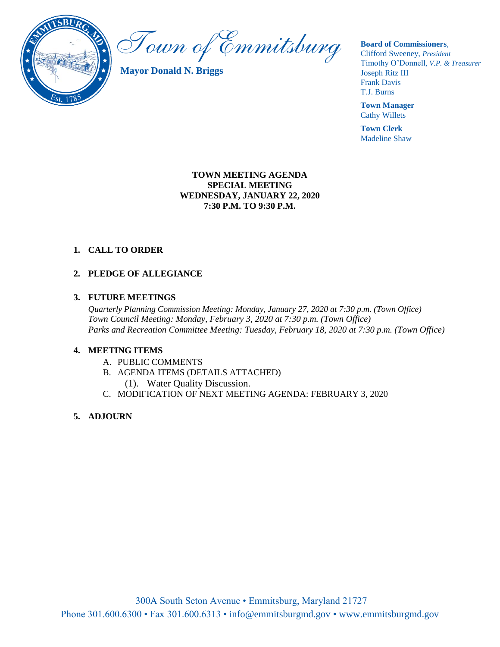

Town of Emmitsburg

**Mayor Donald N. Briggs**

#### **Board of Commissioners**,

Clifford Sweeney, *President* Timothy O'Donnell*, V.P. & Treasurer*  Joseph Ritz III Frank Davis T.J. Burns

**Town Manager** Cathy Willets

**Town Clerk** Madeline Shaw

#### **TOWN MEETING AGENDA SPECIAL MEETING WEDNESDAY, JANUARY 22, 2020 7:30 P.M. TO 9:30 P.M.**

## **1. CALL TO ORDER**

## **2. PLEDGE OF ALLEGIANCE**

#### **3. FUTURE MEETINGS**

*Quarterly Planning Commission Meeting: Monday, January 27, 2020 at 7:30 p.m. (Town Office) Town Council Meeting: Monday, February 3, 2020 at 7:30 p.m. (Town Office) Parks and Recreation Committee Meeting: Tuesday, February 18, 2020 at 7:30 p.m. (Town Office)*

### **4. MEETING ITEMS**

- A. PUBLIC COMMENTS
- B. AGENDA ITEMS (DETAILS ATTACHED)
	- (1). Water Quality Discussion.
- C. MODIFICATION OF NEXT MEETING AGENDA: FEBRUARY 3, 2020

### **5. ADJOURN**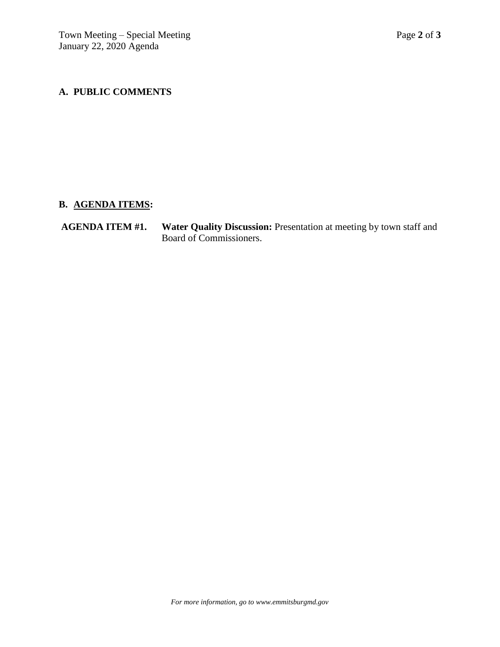# **A. PUBLIC COMMENTS**

# **B. AGENDA ITEMS:**

# **AGENDA ITEM #1. Water Quality Discussion:** Presentation at meeting by town staff and Board of Commissioners.